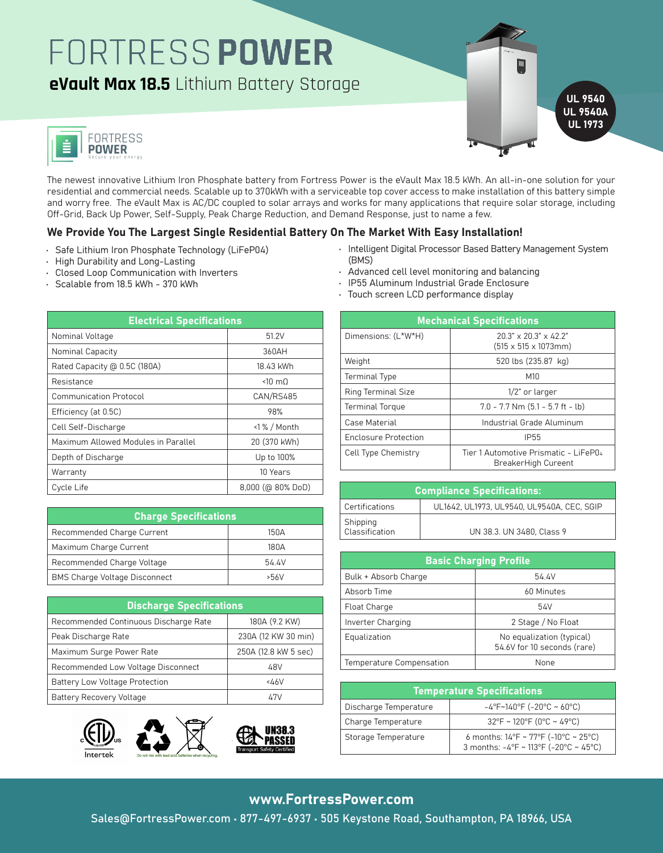## FORTRESS POWER

**eVault Max 18.5** Lithium Battery Storage





The newest innovative Lithium Iron Phosphate battery from Fortress Power is the eVault Max 18.5 kWh. An all-in-one solution for your residential and commercial needs. Scalable up to 370kWh with a serviceable top cover access to make installation of this battery simple and worry free. The eVault Max is AC/DC coupled to solar arrays and works for many applications that require solar storage, including Off-Grid, Back Up Power, Self-Supply, Peak Charge Reduction, and Demand Response, just to name a few.

#### We Provide You The Largest Single Residential Battery On The Market With Easy Installation!

- Safe Lithium Iron Phosphate Technology (LiFeP04)
- High Durability and Long-Lasting
- Closed Loop Communication with Inverters
- Scalable from 18.5 kWh 370 kWh
- Intelligent Digital Processor Based Battery Management System (BMS)
- Advanced cell level monitoring and balancing
- IP55 Aluminum Industrial Grade Enclosure
- Touch screen LCD performance display

| <b>Electrical Specifications</b>          |                        |  |  |
|-------------------------------------------|------------------------|--|--|
| Nominal Voltage                           | 51.2V                  |  |  |
| 360AH<br>Nominal Capacity                 |                        |  |  |
| Rated Capacity @ 0.5C (180A)<br>18.43 kWh |                        |  |  |
| Resistance                                | $< 10 \text{ m}$       |  |  |
| <b>Communication Protocol</b>             | CAN/RS485              |  |  |
| Efficiency (at 0.5C)                      | 98%                    |  |  |
| Cell Self-Discharge                       | $\langle$ 1% / Month   |  |  |
| Maximum Allowed Modules in Parallel       | 20 (370 kWh)           |  |  |
| Depth of Discharge                        | Up to 100%             |  |  |
| Warranty                                  | 10 Years               |  |  |
| Cycle Life                                | $8,000$ (@ $80\%$ DoD) |  |  |

| <b>Charge Specifications</b>         |       |  |
|--------------------------------------|-------|--|
| Recommended Charge Current           | 150A  |  |
| Maximum Charge Current               | 180A  |  |
| Recommended Charge Voltage           | 54.4V |  |
| <b>BMS Charge Voltage Disconnect</b> | >56   |  |

| <b>Discharge Specifications</b>       |                      | Float Charge                   |                                   |
|---------------------------------------|----------------------|--------------------------------|-----------------------------------|
| Recommended Continuous Discharge Rate | 180A (9.2 KW)        | Inverter Charging              | 2 Stage                           |
| Peak Discharge Rate                   | 230A (12 KW 30 min)  | Equalization                   | No equaliza                       |
| Maximum Surge Power Rate              | 250A (12.8 kW 5 sec) |                                | 54.6V for 10 s                    |
| Recommended Low Voltage Disconnect    | 48V                  | Temperature Compensation       | N                                 |
| <b>Battery Low Voltage Protection</b> | 46V                  |                                |                                   |
| <b>Battery Recovery Voltage</b>       | 47V                  |                                | <b>Temperature Specifications</b> |
|                                       |                      | Distribution Tensor constructs | $10F - 1100F / 20$                |









| <b>Mechanical Specifications</b>                                       |  |  |
|------------------------------------------------------------------------|--|--|
| $20.3" \times 20.3" \times 42.2"$<br>$(515 \times 515 \times 1073$ mm) |  |  |
| 520 lbs (235.87 kg)                                                    |  |  |
| M10                                                                    |  |  |
| $1/2$ " or larger                                                      |  |  |
| $7.0 - 7.7$ Nm $(5.1 - 5.7$ ft - lb)                                   |  |  |
| Industrial Grade Aluminum                                              |  |  |
| <b>IP55</b>                                                            |  |  |
| Tier 1 Automotive Prismatic - LiFeP04<br>BreakerHigh Cureent           |  |  |
|                                                                        |  |  |

| <b>Compliance Specifications:</b>                   |                                            |
|-----------------------------------------------------|--------------------------------------------|
| Certifications                                      | UL1642, UL1973, UL9540, UL9540A, CEC, SGIP |
| Shipping<br>$\overline{\phantom{a}}$ Classification | UN 38.3. UN 3480, Class 9                  |

| <b>Basic Charging Profile</b> |                                                          |
|-------------------------------|----------------------------------------------------------|
| Bulk + Absorb Charge          | 54.4V                                                    |
| Absorb Time                   | 60 Minutes                                               |
| Float Charge                  | 54V                                                      |
| Inverter Charging             | 2 Stage / No Float                                       |
| Equalization                  | No equalization (typical)<br>54.6V for 10 seconds (rare) |
| Temperature Compensation      | None                                                     |

| <b>Temperature Specifications</b> |                                                                                                                       |  |
|-----------------------------------|-----------------------------------------------------------------------------------------------------------------------|--|
| Discharge Temperature             | $-4^{\circ}F~140^{\circ}F$ (-20°C ~ 60°C)                                                                             |  |
| Charge Temperature                | $32^{\circ}$ F ~ 120°F (0°C ~ 49°C)                                                                                   |  |
| Storage Temperature               | 6 months: $14^{\circ}F \sim 77^{\circ}F$ (-10 $^{\circ}C \sim 25^{\circ}C$ )<br>3 months: -4°F ~ 113°F (-20°C ~ 45°C) |  |

#### www.FortressPower.com

Sales@FortressPower.com • 877-497-6937 • 505 Keystone Road, Southampton, PA 18966, USA